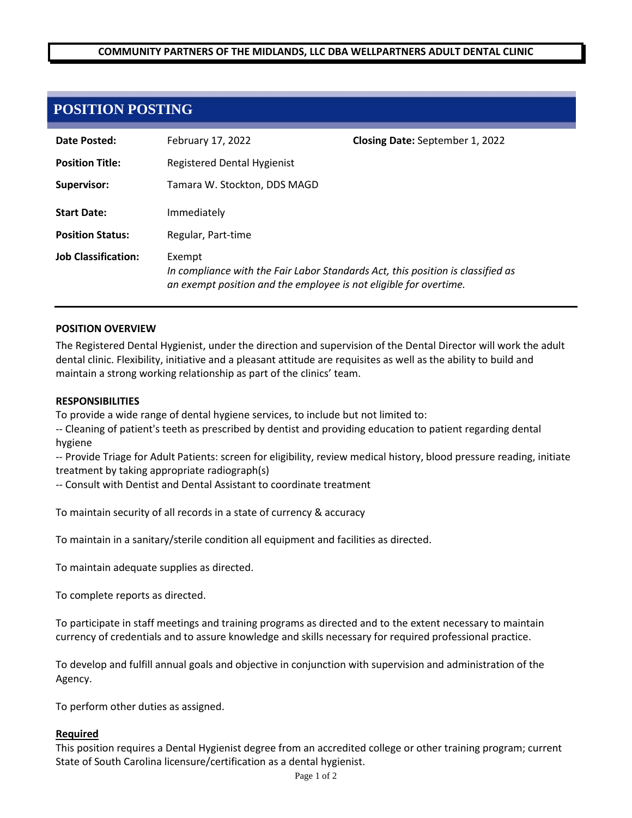## **COMMUNITY PARTNERS OF THE MIDLANDS, LLC DBA WELLPARTNERS ADULT DENTAL CLINIC**

# **POSITION POSTING**

| Date Posted:               | February 17, 2022                                                                                                                                              | <b>Closing Date:</b> September 1, 2022 |
|----------------------------|----------------------------------------------------------------------------------------------------------------------------------------------------------------|----------------------------------------|
| <b>Position Title:</b>     | Registered Dental Hygienist                                                                                                                                    |                                        |
| Supervisor:                | Tamara W. Stockton, DDS MAGD                                                                                                                                   |                                        |
| <b>Start Date:</b>         | Immediately                                                                                                                                                    |                                        |
| <b>Position Status:</b>    | Regular, Part-time                                                                                                                                             |                                        |
| <b>Job Classification:</b> | Exempt<br>In compliance with the Fair Labor Standards Act, this position is classified as<br>an exempt position and the employee is not eligible for overtime. |                                        |

#### **POSITION OVERVIEW**

The Registered Dental Hygienist, under the direction and supervision of the Dental Director will work the adult dental clinic. Flexibility, initiative and a pleasant attitude are requisites as well as the ability to build and maintain a strong working relationship as part of the clinics' team.

#### **RESPONSIBILITIES**

To provide a wide range of dental hygiene services, to include but not limited to:

-- Cleaning of patient's teeth as prescribed by dentist and providing education to patient regarding dental hygiene

-- Provide Triage for Adult Patients: screen for eligibility, review medical history, blood pressure reading, initiate treatment by taking appropriate radiograph(s)

-- Consult with Dentist and Dental Assistant to coordinate treatment

To maintain security of all records in a state of currency & accuracy

To maintain in a sanitary/sterile condition all equipment and facilities as directed.

To maintain adequate supplies as directed.

To complete reports as directed.

To participate in staff meetings and training programs as directed and to the extent necessary to maintain currency of credentials and to assure knowledge and skills necessary for required professional practice.

To develop and fulfill annual goals and objective in conjunction with supervision and administration of the Agency.

To perform other duties as assigned.

#### **Required**

This position requires a Dental Hygienist degree from an accredited college or other training program; current State of South Carolina licensure/certification as a dental hygienist.